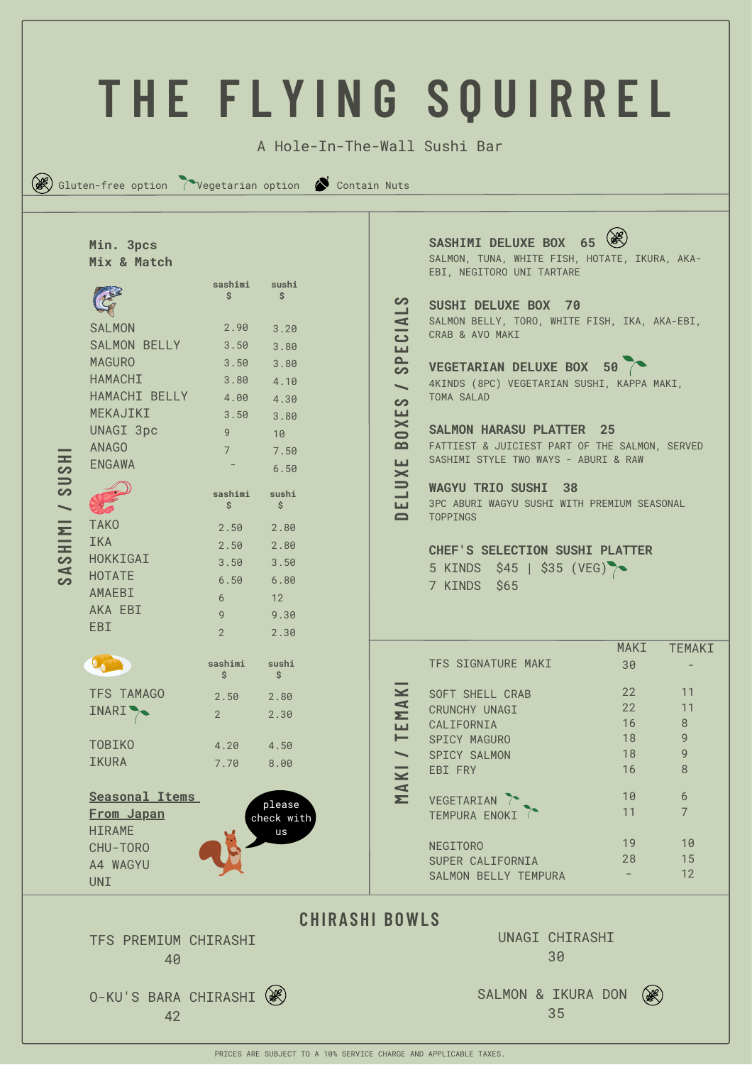|                                                                       |                                                                                                                                                                                                                                             |                                                                                                                                         |                                                                                                                                        |                                                                                                                                                                                                          | THE FLYING SOUIRREL                                                                                                                                                                                                                                                                                                                                                                                                                                                                                                                                                                                      |                   |                                 |  |  |  |
|-----------------------------------------------------------------------|---------------------------------------------------------------------------------------------------------------------------------------------------------------------------------------------------------------------------------------------|-----------------------------------------------------------------------------------------------------------------------------------------|----------------------------------------------------------------------------------------------------------------------------------------|----------------------------------------------------------------------------------------------------------------------------------------------------------------------------------------------------------|----------------------------------------------------------------------------------------------------------------------------------------------------------------------------------------------------------------------------------------------------------------------------------------------------------------------------------------------------------------------------------------------------------------------------------------------------------------------------------------------------------------------------------------------------------------------------------------------------------|-------------------|---------------------------------|--|--|--|
|                                                                       |                                                                                                                                                                                                                                             |                                                                                                                                         |                                                                                                                                        |                                                                                                                                                                                                          |                                                                                                                                                                                                                                                                                                                                                                                                                                                                                                                                                                                                          |                   |                                 |  |  |  |
| A Hole-In-The-Wall Sushi Bar                                          |                                                                                                                                                                                                                                             |                                                                                                                                         |                                                                                                                                        |                                                                                                                                                                                                          |                                                                                                                                                                                                                                                                                                                                                                                                                                                                                                                                                                                                          |                   |                                 |  |  |  |
|                                                                       | $(\mathbb{R})$ Gluten-free option $\sum$ Vegetarian option $\sum$ Contain Nuts                                                                                                                                                              |                                                                                                                                         |                                                                                                                                        |                                                                                                                                                                                                          |                                                                                                                                                                                                                                                                                                                                                                                                                                                                                                                                                                                                          |                   |                                 |  |  |  |
| 5H<br>$\Rightarrow$<br>တ<br><b>ININS</b><br>$\blacktriangleleft$<br>တ | Min. 3pcs<br>Mix & Match<br><b>SALMON</b><br><b>SALMON BELLY</b><br><b>MAGURO</b><br><b>HAMACHI</b><br>HAMACHI BELLY<br>MEKAJIKI<br>UNAGI 3pc<br><b>ANAGO</b><br><b>ENGAWA</b><br><b>TAKO</b><br>IKA<br>HOKKIGAI<br><b>HOTATE</b><br>AMAEBI | sashimi<br>Ś.<br>2.90<br>3.50<br>3.50<br>3.80<br>4.00<br>3.50<br>9<br>$7^{\circ}$<br>sashimi<br>\$<br>2.50<br>2.50<br>3.50<br>6.50<br>6 | sushi<br>Ś.<br>3.20<br>3.80<br>3.80<br>4.10<br>4.30<br>3.80<br>10<br>7.50<br>6.50<br>sushi<br>\$<br>2.80<br>2.80<br>3.50<br>6.80<br>12 | တ<br><b>CIA</b><br>ш<br>$\sim$<br>တ<br>$\overline{\phantom{0}}$<br>တ<br>ш<br>$\mathord{\thickapprox}$<br>$\blacksquare$<br>$\mathbf{a}$<br>ш<br>$\mathord{\thickapprox}$<br>$\Rightarrow$<br>ш<br>$\Box$ | SASHIMI DELUXE BOX 65<br>SALMON, TUNA, WHITE FISH, HOTATE, IKURA, AKA-<br>EBI, NEGITORO UNI TARTARE<br>SUSHI DELUXE BOX 70<br>SALMON BELLY, TORO, WHITE FISH, IKA, AKA-EBI,<br>CRAB & AVO MAKI<br>VEGETARIAN DELUXE BOX 50<br>4KINDS (8PC) VEGETARIAN SUSHI, KAPPA MAKI,<br>TOMA SALAD<br><b>SALMON HARASU PLATTER 25</b><br>FATTIEST & JUICIEST PART OF THE SALMON, SERVED<br>SASHIMI STYLE TWO WAYS - ABURI & RAW<br><b>WAGYU TRIO SUSHI</b><br>38<br>3PC ABURI WAGYU SUSHI WITH PREMIUM SEASONAL<br><b>TOPPINGS</b><br>CHEF'S SELECTION SUSHI PLATTER<br>5 KINDS \$45   \$35 (VEG)<br>7 KINDS<br>\$65 |                   |                                 |  |  |  |
|                                                                       | AKA EBI<br><b>EBI</b><br>$\mathbf{Q}_0$                                                                                                                                                                                                     | $\mathsf{Q}$<br>$\overline{2}$<br>sashimi                                                                                               | 9.30<br>2.30<br>sushi                                                                                                                  |                                                                                                                                                                                                          | TFS SIGNATURE MAKI                                                                                                                                                                                                                                                                                                                                                                                                                                                                                                                                                                                       | <b>MAKI</b><br>30 | TEMAKI                          |  |  |  |
|                                                                       | TFS TAMAGO<br>INARI <sup>&gt;</sup>                                                                                                                                                                                                         | \$<br>2.50<br>$2^{\circ}$                                                                                                               | Ś.<br>2.80<br>2.30                                                                                                                     | $\leq$<br>MA<br>ш                                                                                                                                                                                        | SOFT SHELL CRAB<br>CRUNCHY UNAGI<br>CALIFORNIA                                                                                                                                                                                                                                                                                                                                                                                                                                                                                                                                                           | 22<br>22<br>16    | 11<br>11<br>$\,8\,$             |  |  |  |
|                                                                       | <b>TOBIKO</b><br><b>IKURA</b>                                                                                                                                                                                                               | 4.20<br>7.70                                                                                                                            | 4.50<br>8.00                                                                                                                           | ⊢<br>$\overbrace{\rule{2.5cm}{0pt}}$<br>MAKI                                                                                                                                                             | SPICY MAGURO<br>SPICY SALMON<br>EBI FRY                                                                                                                                                                                                                                                                                                                                                                                                                                                                                                                                                                  | 18<br>18<br>16    | $\mathsf 9$<br>$\mathsf g$<br>8 |  |  |  |
|                                                                       | Seasonal Items<br>From Japan<br><b>HIRAME</b>                                                                                                                                                                                               |                                                                                                                                         | please<br>check with<br>us                                                                                                             |                                                                                                                                                                                                          | VEGETARIAN<br>TEMPURA ENOKI                                                                                                                                                                                                                                                                                                                                                                                                                                                                                                                                                                              | 10<br>11          | 6<br>$\overline{7}$             |  |  |  |
|                                                                       | CHU-TORO<br>A4 WAGYU<br><b>UNI</b>                                                                                                                                                                                                          |                                                                                                                                         |                                                                                                                                        |                                                                                                                                                                                                          | <b>NEGITORO</b><br>SUPER CALIFORNIA<br>SALMON BELLY TEMPURA                                                                                                                                                                                                                                                                                                                                                                                                                                                                                                                                              | 19<br>28          | 10<br>15<br>12                  |  |  |  |
|                                                                       |                                                                                                                                                                                                                                             |                                                                                                                                         |                                                                                                                                        | <b>CHIRASHI BOWLS</b>                                                                                                                                                                                    |                                                                                                                                                                                                                                                                                                                                                                                                                                                                                                                                                                                                          |                   |                                 |  |  |  |
|                                                                       | 40                                                                                                                                                                                                                                          | UNAGI CHIRASHI<br>TFS PREMIUM CHIRASHI<br>30                                                                                            |                                                                                                                                        |                                                                                                                                                                                                          |                                                                                                                                                                                                                                                                                                                                                                                                                                                                                                                                                                                                          |                   |                                 |  |  |  |
|                                                                       | 0-KU'S BARA CHIRASHI (38)<br>42                                                                                                                                                                                                             |                                                                                                                                         |                                                                                                                                        |                                                                                                                                                                                                          | SALMON & IKURA DON<br>35                                                                                                                                                                                                                                                                                                                                                                                                                                                                                                                                                                                 |                   |                                 |  |  |  |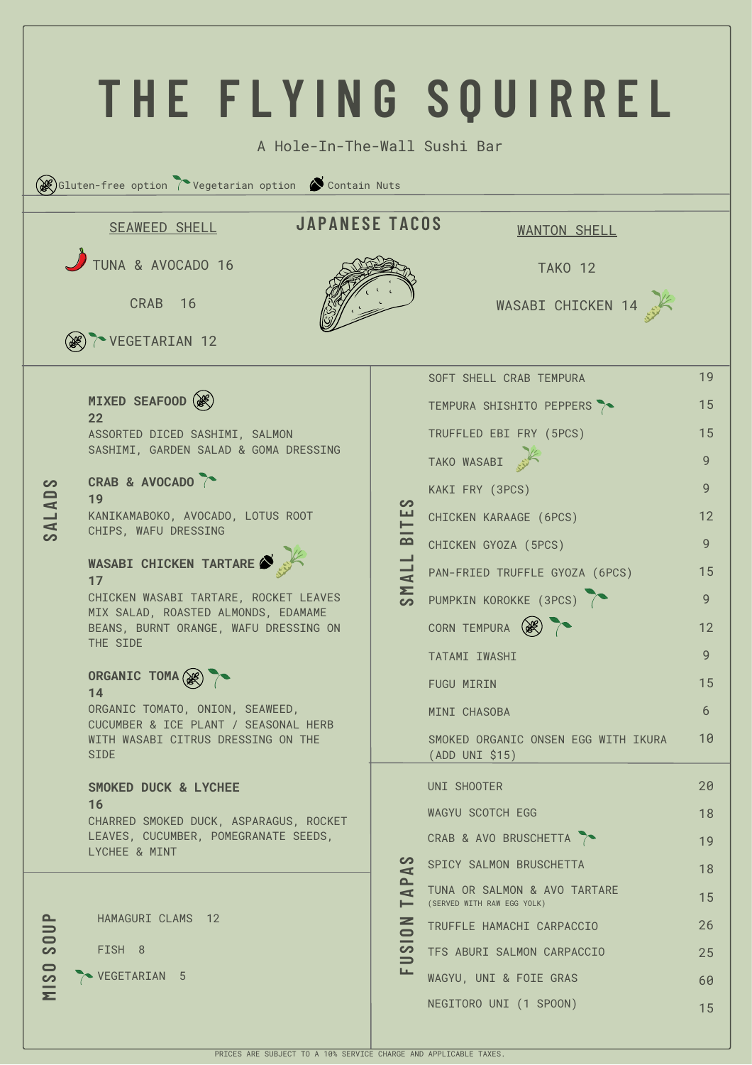| THE FLYING SOUIRREL<br>A Hole-In-The-Wall Sushi Bar |                                                                                      |                                                                                           |                                                            |    |  |  |  |  |
|-----------------------------------------------------|--------------------------------------------------------------------------------------|-------------------------------------------------------------------------------------------|------------------------------------------------------------|----|--|--|--|--|
|                                                     | $\mathscr{B}$ Gluten-free option $\Gamma$ Vegetarian option $\ \bullet$ Contain Nuts |                                                                                           |                                                            |    |  |  |  |  |
|                                                     | <b>JAPANESE TACOS</b><br><b>SEAWEED SHELL</b><br><b>WANTON SHELL</b>                 |                                                                                           |                                                            |    |  |  |  |  |
|                                                     | TUNA & AVOCADO 16<br>CRAB 16<br><b>EX TO VEGETARIAN 12</b>                           |                                                                                           | <b>TAKO 12</b><br>WASABI CHICKEN 14                        |    |  |  |  |  |
|                                                     |                                                                                      |                                                                                           | SOFT SHELL CRAB TEMPURA                                    | 19 |  |  |  |  |
| SALADS                                              | MIXED SEAFOOD (                                                                      |                                                                                           | TEMPURA SHISHITO PEPPERS ?                                 | 15 |  |  |  |  |
|                                                     | 22<br>ASSORTED DICED SASHIMI, SALMON                                                 |                                                                                           | TRUFFLED EBI FRY (5PCS)                                    | 15 |  |  |  |  |
|                                                     | SASHIMI, GARDEN SALAD & GOMA DRESSING                                                |                                                                                           | TAKO WASABI                                                | 9  |  |  |  |  |
|                                                     | CRAB & AVOCADO<br>19                                                                 |                                                                                           | KAKI FRY (3PCS)                                            | 9  |  |  |  |  |
|                                                     | KANIKAMABOKO, AVOCADO, LOTUS ROOT                                                    |                                                                                           | CHICKEN KARAAGE (6PCS)                                     | 12 |  |  |  |  |
|                                                     | CHIPS, WAFU DRESSING                                                                 | $-$ BITES                                                                                 | CHICKEN GYOZA (5PCS)                                       | 9  |  |  |  |  |
|                                                     | WASABI CHICKEN TARTARE<br>17                                                         | SMALL                                                                                     | PAN-FRIED TRUFFLE GYOZA (6PCS)                             | 15 |  |  |  |  |
|                                                     | CHICKEN WASABI TARTARE, ROCKET LEAVES<br>MIX SALAD, ROASTED ALMONDS, EDAMAME         |                                                                                           | PUMPKIN KOROKKE (3PCS)                                     | 9  |  |  |  |  |
|                                                     | BEANS, BURNT ORANGE, WAFU DRESSING ON<br>THE SIDE                                    |                                                                                           | CORN TEMPURA (                                             | 12 |  |  |  |  |
|                                                     |                                                                                      |                                                                                           | TATAMI IWASHI                                              | 9  |  |  |  |  |
|                                                     | ORGANIC TOMA (SE)<br>14                                                              |                                                                                           | <b>FUGU MIRIN</b>                                          | 15 |  |  |  |  |
|                                                     | ORGANIC TOMATO, ONION, SEAWEED,<br>CUCUMBER & ICE PLANT / SEASONAL HERB              |                                                                                           | MINI CHASOBA                                               | 6  |  |  |  |  |
|                                                     | WITH WASABI CITRUS DRESSING ON THE<br><b>SIDE</b>                                    |                                                                                           | SMOKED ORGANIC ONSEN EGG WITH IKURA<br>(ADD UNI \$15)      | 10 |  |  |  |  |
|                                                     | SMOKED DUCK & LYCHEE                                                                 |                                                                                           | UNI SHOOTER                                                | 20 |  |  |  |  |
|                                                     | 16<br>CHARRED SMOKED DUCK, ASPARAGUS, ROCKET                                         | တ<br>$\blacktriangleleft$<br>௨<br>$\blacktriangleleft$<br>⊢<br>z<br>1210<br>$\Rightarrow$ | WAGYU SCOTCH EGG                                           | 18 |  |  |  |  |
|                                                     | LEAVES, CUCUMBER, POMEGRANATE SEEDS,<br>LYCHEE & MINT                                |                                                                                           | CRAB & AVO BRUSCHETTA                                      | 19 |  |  |  |  |
|                                                     |                                                                                      |                                                                                           | SPICY SALMON BRUSCHETTA                                    | 18 |  |  |  |  |
| <b>SOUP</b>                                         |                                                                                      |                                                                                           | TUNA OR SALMON & AVO TARTARE<br>(SERVED WITH RAW EGG YOLK) | 15 |  |  |  |  |
|                                                     | HAMAGURI CLAMS 12                                                                    |                                                                                           | TRUFFLE HAMACHI CARPACCIO                                  | 26 |  |  |  |  |
|                                                     | FISH 8                                                                               |                                                                                           | TFS ABURI SALMON CARPACCIO                                 | 25 |  |  |  |  |
| <b>MISO</b>                                         | VEGETARIAN 5                                                                         | ᄔ                                                                                         | WAGYU, UNI & FOIE GRAS                                     | 60 |  |  |  |  |
|                                                     |                                                                                      |                                                                                           | NEGITORO UNI (1 SPOON)                                     | 15 |  |  |  |  |